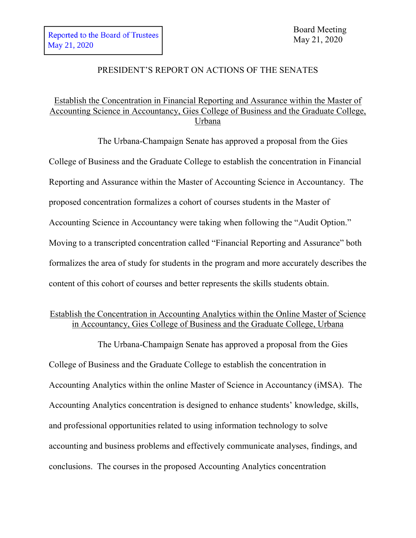## PRESIDENT'S REPORT ON ACTIONS OF THE SENATES

# Establish the Concentration in Financial Reporting and Assurance within the Master of Accounting Science in Accountancy, Gies College of Business and the Graduate College, Urbana

The Urbana-Champaign Senate has approved a proposal from the Gies College of Business and the Graduate College to establish the concentration in Financial Reporting and Assurance within the Master of Accounting Science in Accountancy. The proposed concentration formalizes a cohort of courses students in the Master of Accounting Science in Accountancy were taking when following the "Audit Option." Moving to a transcripted concentration called "Financial Reporting and Assurance" both formalizes the area of study for students in the program and more accurately describes the content of this cohort of courses and better represents the skills students obtain.

# Establish the Concentration in Accounting Analytics within the Online Master of Science in Accountancy, Gies College of Business and the Graduate College, Urbana

The Urbana-Champaign Senate has approved a proposal from the Gies College of Business and the Graduate College to establish the concentration in Accounting Analytics within the online Master of Science in Accountancy (iMSA). The Accounting Analytics concentration is designed to enhance students' knowledge, skills, and professional opportunities related to using information technology to solve accounting and business problems and effectively communicate analyses, findings, and conclusions. The courses in the proposed Accounting Analytics concentration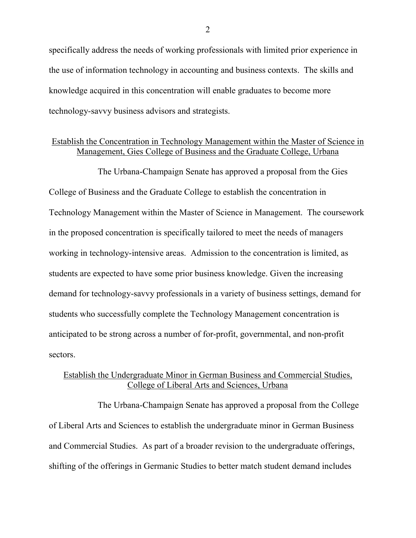specifically address the needs of working professionals with limited prior experience in the use of information technology in accounting and business contexts. The skills and knowledge acquired in this concentration will enable graduates to become more technology-savvy business advisors and strategists.

#### Establish the Concentration in Technology Management within the Master of Science in Management, Gies College of Business and the Graduate College, Urbana

The Urbana-Champaign Senate has approved a proposal from the Gies College of Business and the Graduate College to establish the concentration in Technology Management within the Master of Science in Management. The coursework in the proposed concentration is specifically tailored to meet the needs of managers working in technology-intensive areas. Admission to the concentration is limited, as students are expected to have some prior business knowledge. Given the increasing demand for technology-savvy professionals in a variety of business settings, demand for students who successfully complete the Technology Management concentration is anticipated to be strong across a number of for-profit, governmental, and non-profit sectors.

## Establish the Undergraduate Minor in German Business and Commercial Studies, College of Liberal Arts and Sciences, Urbana

The Urbana-Champaign Senate has approved a proposal from the College of Liberal Arts and Sciences to establish the undergraduate minor in German Business and Commercial Studies. As part of a broader revision to the undergraduate offerings, shifting of the offerings in Germanic Studies to better match student demand includes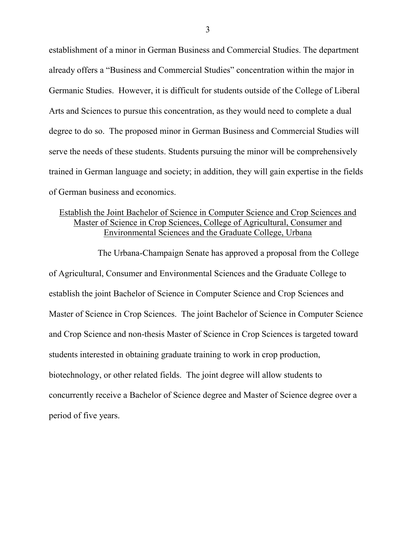establishment of a minor in German Business and Commercial Studies. The department already offers a "Business and Commercial Studies" concentration within the major in Germanic Studies. However, it is difficult for students outside of the College of Liberal Arts and Sciences to pursue this concentration, as they would need to complete a dual degree to do so. The proposed minor in German Business and Commercial Studies will serve the needs of these students. Students pursuing the minor will be comprehensively trained in German language and society; in addition, they will gain expertise in the fields of German business and economics.

#### Establish the Joint Bachelor of Science in Computer Science and Crop Sciences and Master of Science in Crop Sciences, College of Agricultural, Consumer and Environmental Sciences and the Graduate College, Urbana

The Urbana-Champaign Senate has approved a proposal from the College of Agricultural, Consumer and Environmental Sciences and the Graduate College to establish the joint Bachelor of Science in Computer Science and Crop Sciences and Master of Science in Crop Sciences. The joint Bachelor of Science in Computer Science and Crop Science and non-thesis Master of Science in Crop Sciences is targeted toward students interested in obtaining graduate training to work in crop production, biotechnology, or other related fields. The joint degree will allow students to concurrently receive a Bachelor of Science degree and Master of Science degree over a period of five years.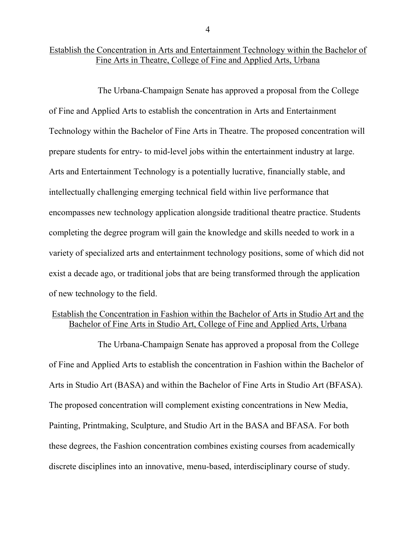### Establish the Concentration in Arts and Entertainment Technology within the Bachelor of Fine Arts in Theatre, College of Fine and Applied Arts, Urbana

The Urbana-Champaign Senate has approved a proposal from the College of Fine and Applied Arts to establish the concentration in Arts and Entertainment Technology within the Bachelor of Fine Arts in Theatre. The proposed concentration will prepare students for entry- to mid-level jobs within the entertainment industry at large. Arts and Entertainment Technology is a potentially lucrative, financially stable, and intellectually challenging emerging technical field within live performance that encompasses new technology application alongside traditional theatre practice. Students completing the degree program will gain the knowledge and skills needed to work in a variety of specialized arts and entertainment technology positions, some of which did not exist a decade ago, or traditional jobs that are being transformed through the application of new technology to the field.

## Establish the Concentration in Fashion within the Bachelor of Arts in Studio Art and the Bachelor of Fine Arts in Studio Art, College of Fine and Applied Arts, Urbana

The Urbana-Champaign Senate has approved a proposal from the College of Fine and Applied Arts to establish the concentration in Fashion within the Bachelor of Arts in Studio Art (BASA) and within the Bachelor of Fine Arts in Studio Art (BFASA). The proposed concentration will complement existing concentrations in New Media, Painting, Printmaking, Sculpture, and Studio Art in the BASA and BFASA. For both these degrees, the Fashion concentration combines existing courses from academically discrete disciplines into an innovative, menu-based, interdisciplinary course of study.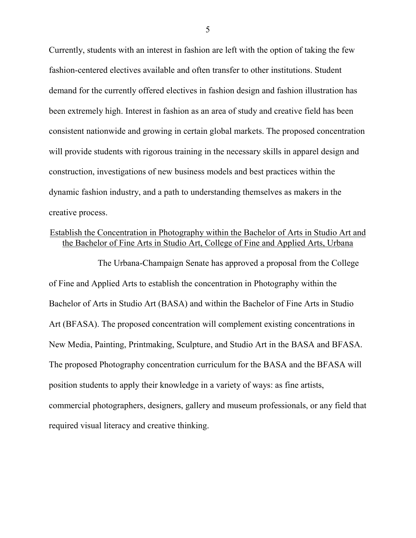Currently, students with an interest in fashion are left with the option of taking the few fashion-centered electives available and often transfer to other institutions. Student demand for the currently offered electives in fashion design and fashion illustration has been extremely high. Interest in fashion as an area of study and creative field has been consistent nationwide and growing in certain global markets. The proposed concentration will provide students with rigorous training in the necessary skills in apparel design and construction, investigations of new business models and best practices within the dynamic fashion industry, and a path to understanding themselves as makers in the creative process.

## Establish the Concentration in Photography within the Bachelor of Arts in Studio Art and the Bachelor of Fine Arts in Studio Art, College of Fine and Applied Arts, Urbana

The Urbana-Champaign Senate has approved a proposal from the College of Fine and Applied Arts to establish the concentration in Photography within the Bachelor of Arts in Studio Art (BASA) and within the Bachelor of Fine Arts in Studio Art (BFASA). The proposed concentration will complement existing concentrations in New Media, Painting, Printmaking, Sculpture, and Studio Art in the BASA and BFASA. The proposed Photography concentration curriculum for the BASA and the BFASA will position students to apply their knowledge in a variety of ways: as fine artists, commercial photographers, designers, gallery and museum professionals, or any field that required visual literacy and creative thinking.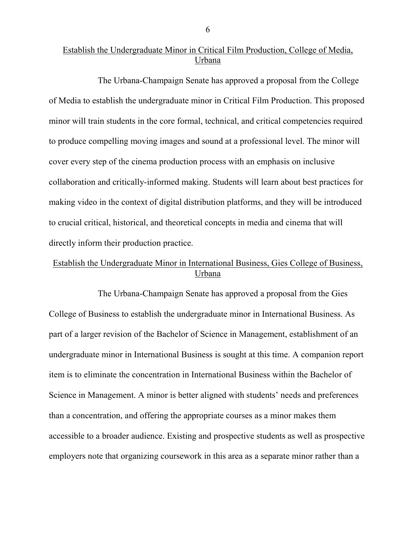# Establish the Undergraduate Minor in Critical Film Production, College of Media, Urbana

The Urbana-Champaign Senate has approved a proposal from the College of Media to establish the undergraduate minor in Critical Film Production. This proposed minor will train students in the core formal, technical, and critical competencies required to produce compelling moving images and sound at a professional level. The minor will cover every step of the cinema production process with an emphasis on inclusive collaboration and critically-informed making. Students will learn about best practices for making video in the context of digital distribution platforms, and they will be introduced to crucial critical, historical, and theoretical concepts in media and cinema that will directly inform their production practice.

# Establish the Undergraduate Minor in International Business, Gies College of Business, Urbana

The Urbana-Champaign Senate has approved a proposal from the Gies College of Business to establish the undergraduate minor in International Business. As part of a larger revision of the Bachelor of Science in Management, establishment of an undergraduate minor in International Business is sought at this time. A companion report item is to eliminate the concentration in International Business within the Bachelor of Science in Management. A minor is better aligned with students' needs and preferences than a concentration, and offering the appropriate courses as a minor makes them accessible to a broader audience. Existing and prospective students as well as prospective employers note that organizing coursework in this area as a separate minor rather than a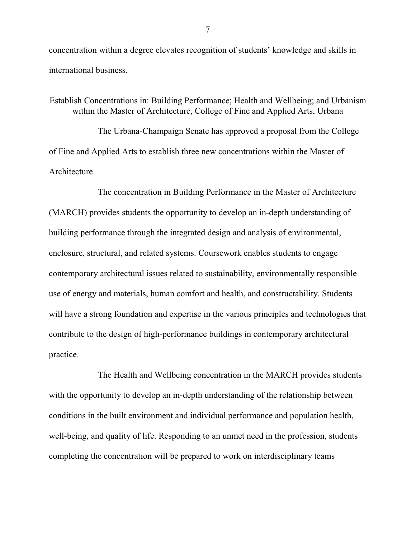concentration within a degree elevates recognition of students' knowledge and skills in international business.

## Establish Concentrations in: Building Performance; Health and Wellbeing; and Urbanism within the Master of Architecture, College of Fine and Applied Arts, Urbana

The Urbana-Champaign Senate has approved a proposal from the College of Fine and Applied Arts to establish three new concentrations within the Master of Architecture.

The concentration in Building Performance in the Master of Architecture (MARCH) provides students the opportunity to develop an in-depth understanding of building performance through the integrated design and analysis of environmental, enclosure, structural, and related systems. Coursework enables students to engage contemporary architectural issues related to sustainability, environmentally responsible use of energy and materials, human comfort and health, and constructability. Students will have a strong foundation and expertise in the various principles and technologies that contribute to the design of high-performance buildings in contemporary architectural practice.

The Health and Wellbeing concentration in the MARCH provides students with the opportunity to develop an in-depth understanding of the relationship between conditions in the built environment and individual performance and population health, well-being, and quality of life. Responding to an unmet need in the profession, students completing the concentration will be prepared to work on interdisciplinary teams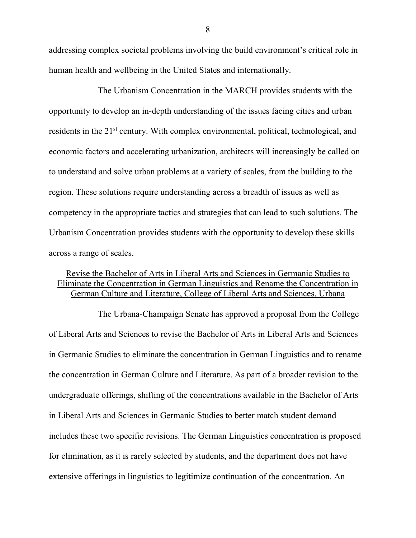addressing complex societal problems involving the build environment's critical role in human health and wellbeing in the United States and internationally.

The Urbanism Concentration in the MARCH provides students with the opportunity to develop an in-depth understanding of the issues facing cities and urban residents in the 21<sup>st</sup> century. With complex environmental, political, technological, and economic factors and accelerating urbanization, architects will increasingly be called on to understand and solve urban problems at a variety of scales, from the building to the region. These solutions require understanding across a breadth of issues as well as competency in the appropriate tactics and strategies that can lead to such solutions. The Urbanism Concentration provides students with the opportunity to develop these skills across a range of scales.

## Revise the Bachelor of Arts in Liberal Arts and Sciences in Germanic Studies to Eliminate the Concentration in German Linguistics and Rename the Concentration in German Culture and Literature, College of Liberal Arts and Sciences, Urbana

The Urbana-Champaign Senate has approved a proposal from the College of Liberal Arts and Sciences to revise the Bachelor of Arts in Liberal Arts and Sciences in Germanic Studies to eliminate the concentration in German Linguistics and to rename the concentration in German Culture and Literature. As part of a broader revision to the undergraduate offerings, shifting of the concentrations available in the Bachelor of Arts in Liberal Arts and Sciences in Germanic Studies to better match student demand includes these two specific revisions. The German Linguistics concentration is proposed for elimination, as it is rarely selected by students, and the department does not have extensive offerings in linguistics to legitimize continuation of the concentration. An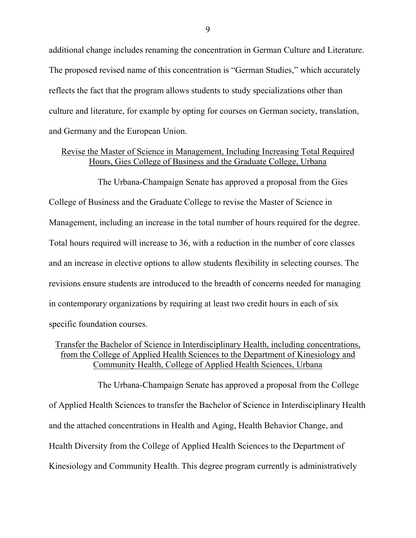additional change includes renaming the concentration in German Culture and Literature. The proposed revised name of this concentration is "German Studies," which accurately reflects the fact that the program allows students to study specializations other than culture and literature, for example by opting for courses on German society, translation, and Germany and the European Union.

#### Revise the Master of Science in Management, Including Increasing Total Required Hours, Gies College of Business and the Graduate College, Urbana

The Urbana-Champaign Senate has approved a proposal from the Gies College of Business and the Graduate College to revise the Master of Science in Management, including an increase in the total number of hours required for the degree. Total hours required will increase to 36, with a reduction in the number of core classes and an increase in elective options to allow students flexibility in selecting courses. The revisions ensure students are introduced to the breadth of concerns needed for managing in contemporary organizations by requiring at least two credit hours in each of six specific foundation courses.

#### Transfer the Bachelor of Science in Interdisciplinary Health, including concentrations, from the College of Applied Health Sciences to the Department of Kinesiology and Community Health, College of Applied Health Sciences, Urbana

The Urbana-Champaign Senate has approved a proposal from the College of Applied Health Sciences to transfer the Bachelor of Science in Interdisciplinary Health and the attached concentrations in Health and Aging, Health Behavior Change, and Health Diversity from the College of Applied Health Sciences to the Department of Kinesiology and Community Health. This degree program currently is administratively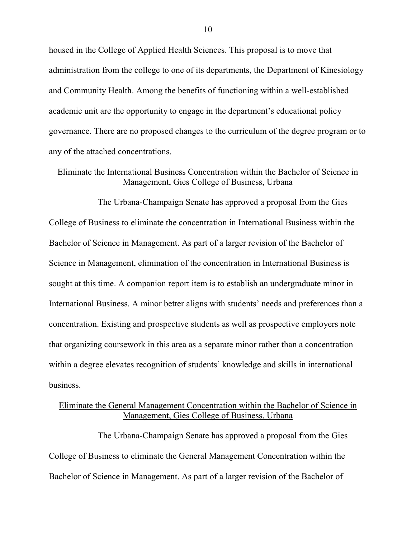housed in the College of Applied Health Sciences. This proposal is to move that administration from the college to one of its departments, the Department of Kinesiology and Community Health. Among the benefits of functioning within a well-established academic unit are the opportunity to engage in the department's educational policy governance. There are no proposed changes to the curriculum of the degree program or to any of the attached concentrations.

#### Eliminate the International Business Concentration within the Bachelor of Science in Management, Gies College of Business, Urbana

The Urbana-Champaign Senate has approved a proposal from the Gies College of Business to eliminate the concentration in International Business within the Bachelor of Science in Management. As part of a larger revision of the Bachelor of Science in Management, elimination of the concentration in International Business is sought at this time. A companion report item is to establish an undergraduate minor in International Business. A minor better aligns with students' needs and preferences than a concentration. Existing and prospective students as well as prospective employers note that organizing coursework in this area as a separate minor rather than a concentration within a degree elevates recognition of students' knowledge and skills in international business.

#### Eliminate the General Management Concentration within the Bachelor of Science in Management, Gies College of Business, Urbana

The Urbana-Champaign Senate has approved a proposal from the Gies College of Business to eliminate the General Management Concentration within the Bachelor of Science in Management. As part of a larger revision of the Bachelor of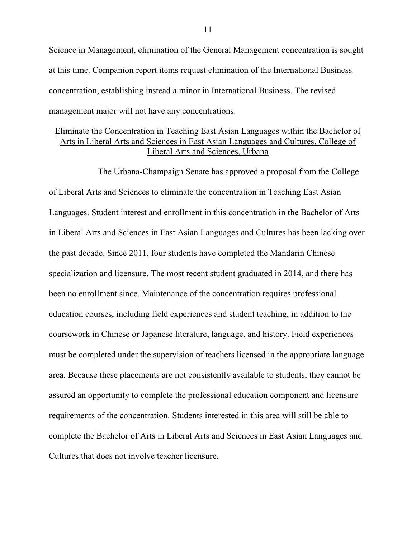Science in Management, elimination of the General Management concentration is sought at this time. Companion report items request elimination of the International Business concentration, establishing instead a minor in International Business. The revised management major will not have any concentrations.

#### Eliminate the Concentration in Teaching East Asian Languages within the Bachelor of Arts in Liberal Arts and Sciences in East Asian Languages and Cultures, College of Liberal Arts and Sciences, Urbana

The Urbana-Champaign Senate has approved a proposal from the College of Liberal Arts and Sciences to eliminate the concentration in Teaching East Asian Languages. Student interest and enrollment in this concentration in the Bachelor of Arts in Liberal Arts and Sciences in East Asian Languages and Cultures has been lacking over the past decade. Since 2011, four students have completed the Mandarin Chinese specialization and licensure. The most recent student graduated in 2014, and there has been no enrollment since. Maintenance of the concentration requires professional education courses, including field experiences and student teaching, in addition to the coursework in Chinese or Japanese literature, language, and history. Field experiences must be completed under the supervision of teachers licensed in the appropriate language area. Because these placements are not consistently available to students, they cannot be assured an opportunity to complete the professional education component and licensure requirements of the concentration. Students interested in this area will still be able to complete the Bachelor of Arts in Liberal Arts and Sciences in East Asian Languages and Cultures that does not involve teacher licensure.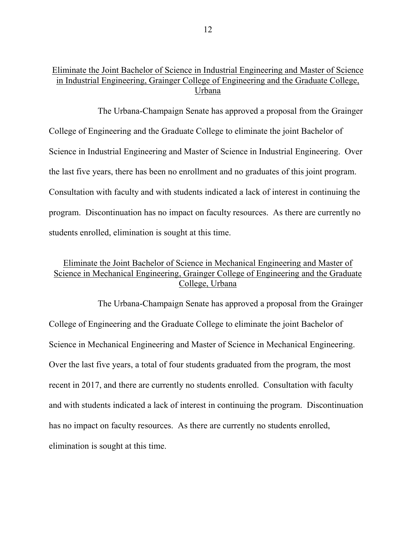## Eliminate the Joint Bachelor of Science in Industrial Engineering and Master of Science in Industrial Engineering, Grainger College of Engineering and the Graduate College, Urbana

The Urbana-Champaign Senate has approved a proposal from the Grainger College of Engineering and the Graduate College to eliminate the joint Bachelor of Science in Industrial Engineering and Master of Science in Industrial Engineering. Over the last five years, there has been no enrollment and no graduates of this joint program. Consultation with faculty and with students indicated a lack of interest in continuing the program. Discontinuation has no impact on faculty resources. As there are currently no students enrolled, elimination is sought at this time.

# Eliminate the Joint Bachelor of Science in Mechanical Engineering and Master of Science in Mechanical Engineering, Grainger College of Engineering and the Graduate College, Urbana

The Urbana-Champaign Senate has approved a proposal from the Grainger College of Engineering and the Graduate College to eliminate the joint Bachelor of Science in Mechanical Engineering and Master of Science in Mechanical Engineering. Over the last five years, a total of four students graduated from the program, the most recent in 2017, and there are currently no students enrolled. Consultation with faculty and with students indicated a lack of interest in continuing the program. Discontinuation has no impact on faculty resources. As there are currently no students enrolled, elimination is sought at this time.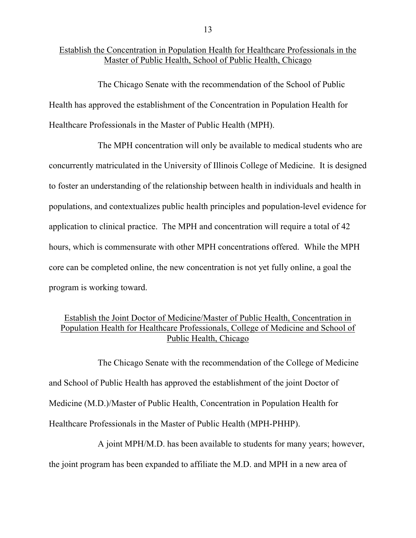#### Establish the Concentration in Population Health for Healthcare Professionals in the Master of Public Health, School of Public Health, Chicago

The Chicago Senate with the recommendation of the School of Public Health has approved the establishment of the Concentration in Population Health for Healthcare Professionals in the Master of Public Health (MPH).

The MPH concentration will only be available to medical students who are concurrently matriculated in the University of Illinois College of Medicine. It is designed to foster an understanding of the relationship between health in individuals and health in populations, and contextualizes public health principles and population-level evidence for application to clinical practice. The MPH and concentration will require a total of 42 hours, which is commensurate with other MPH concentrations offered. While the MPH core can be completed online, the new concentration is not yet fully online, a goal the program is working toward.

# Establish the Joint Doctor of Medicine/Master of Public Health, Concentration in Population Health for Healthcare Professionals, College of Medicine and School of Public Health, Chicago

The Chicago Senate with the recommendation of the College of Medicine and School of Public Health has approved the establishment of the joint Doctor of Medicine (M.D.)/Master of Public Health, Concentration in Population Health for Healthcare Professionals in the Master of Public Health (MPH-PHHP).

A joint MPH/M.D. has been available to students for many years; however, the joint program has been expanded to affiliate the M.D. and MPH in a new area of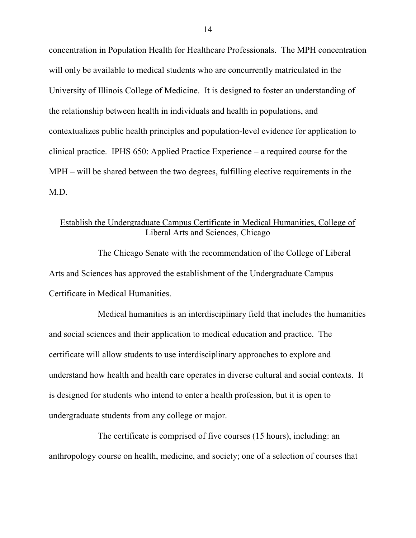concentration in Population Health for Healthcare Professionals. The MPH concentration will only be available to medical students who are concurrently matriculated in the University of Illinois College of Medicine. It is designed to foster an understanding of the relationship between health in individuals and health in populations, and contextualizes public health principles and population-level evidence for application to clinical practice. IPHS 650: Applied Practice Experience – a required course for the MPH – will be shared between the two degrees, fulfilling elective requirements in the M.D.

#### Establish the Undergraduate Campus Certificate in Medical Humanities, College of Liberal Arts and Sciences, Chicago

The Chicago Senate with the recommendation of the College of Liberal Arts and Sciences has approved the establishment of the Undergraduate Campus Certificate in Medical Humanities.

Medical humanities is an interdisciplinary field that includes the humanities and social sciences and their application to medical education and practice. The certificate will allow students to use interdisciplinary approaches to explore and understand how health and health care operates in diverse cultural and social contexts. It is designed for students who intend to enter a health profession, but it is open to undergraduate students from any college or major.

The certificate is comprised of five courses (15 hours), including: an anthropology course on health, medicine, and society; one of a selection of courses that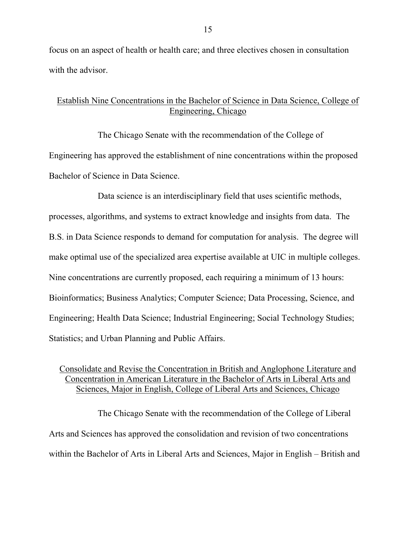focus on an aspect of health or health care; and three electives chosen in consultation with the advisor.

## Establish Nine Concentrations in the Bachelor of Science in Data Science, College of Engineering, Chicago

The Chicago Senate with the recommendation of the College of Engineering has approved the establishment of nine concentrations within the proposed Bachelor of Science in Data Science.

Data science is an interdisciplinary field that uses scientific methods, processes, algorithms, and systems to extract knowledge and insights from data. The B.S. in Data Science responds to demand for computation for analysis. The degree will make optimal use of the specialized area expertise available at UIC in multiple colleges. Nine concentrations are currently proposed, each requiring a minimum of 13 hours: Bioinformatics; Business Analytics; Computer Science; Data Processing, Science, and Engineering; Health Data Science; Industrial Engineering; Social Technology Studies; Statistics; and Urban Planning and Public Affairs.

### Consolidate and Revise the Concentration in British and Anglophone Literature and Concentration in American Literature in the Bachelor of Arts in Liberal Arts and Sciences, Major in English, College of Liberal Arts and Sciences, Chicago

The Chicago Senate with the recommendation of the College of Liberal Arts and Sciences has approved the consolidation and revision of two concentrations within the Bachelor of Arts in Liberal Arts and Sciences, Major in English – British and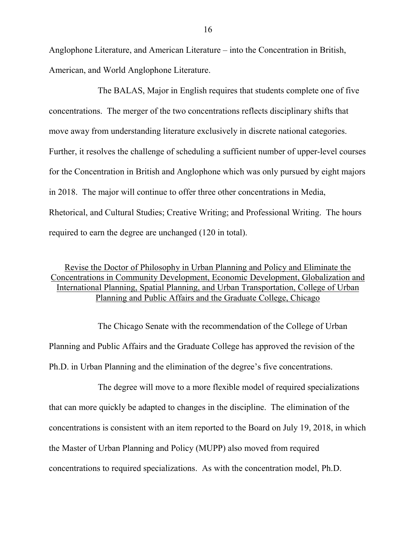Anglophone Literature, and American Literature – into the Concentration in British, American, and World Anglophone Literature.

The BALAS, Major in English requires that students complete one of five concentrations. The merger of the two concentrations reflects disciplinary shifts that move away from understanding literature exclusively in discrete national categories. Further, it resolves the challenge of scheduling a sufficient number of upper-level courses for the Concentration in British and Anglophone which was only pursued by eight majors in 2018. The major will continue to offer three other concentrations in Media, Rhetorical, and Cultural Studies; Creative Writing; and Professional Writing. The hours required to earn the degree are unchanged (120 in total).

### Revise the Doctor of Philosophy in Urban Planning and Policy and Eliminate the Concentrations in Community Development, Economic Development, Globalization and International Planning, Spatial Planning, and Urban Transportation, College of Urban Planning and Public Affairs and the Graduate College, Chicago

The Chicago Senate with the recommendation of the College of Urban Planning and Public Affairs and the Graduate College has approved the revision of the Ph.D. in Urban Planning and the elimination of the degree's five concentrations.

The degree will move to a more flexible model of required specializations that can more quickly be adapted to changes in the discipline. The elimination of the concentrations is consistent with an item reported to the Board on July 19, 2018, in which the Master of Urban Planning and Policy (MUPP) also moved from required concentrations to required specializations. As with the concentration model, Ph.D.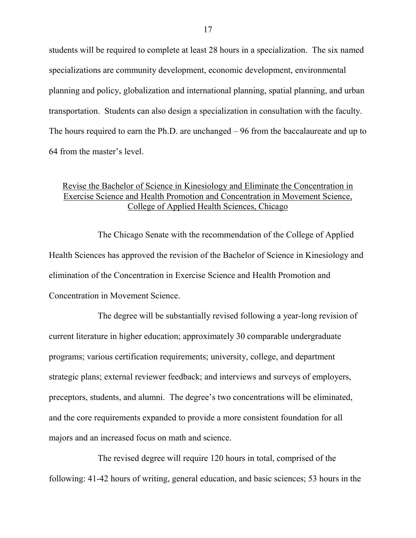students will be required to complete at least 28 hours in a specialization. The six named specializations are community development, economic development, environmental planning and policy, globalization and international planning, spatial planning, and urban transportation. Students can also design a specialization in consultation with the faculty. The hours required to earn the Ph.D. are unchanged – 96 from the baccalaureate and up to 64 from the master's level.

#### Revise the Bachelor of Science in Kinesiology and Eliminate the Concentration in Exercise Science and Health Promotion and Concentration in Movement Science, College of Applied Health Sciences, Chicago

The Chicago Senate with the recommendation of the College of Applied Health Sciences has approved the revision of the Bachelor of Science in Kinesiology and elimination of the Concentration in Exercise Science and Health Promotion and Concentration in Movement Science.

The degree will be substantially revised following a year-long revision of current literature in higher education; approximately 30 comparable undergraduate programs; various certification requirements; university, college, and department strategic plans; external reviewer feedback; and interviews and surveys of employers, preceptors, students, and alumni. The degree's two concentrations will be eliminated, and the core requirements expanded to provide a more consistent foundation for all majors and an increased focus on math and science.

The revised degree will require 120 hours in total, comprised of the following: 41-42 hours of writing, general education, and basic sciences; 53 hours in the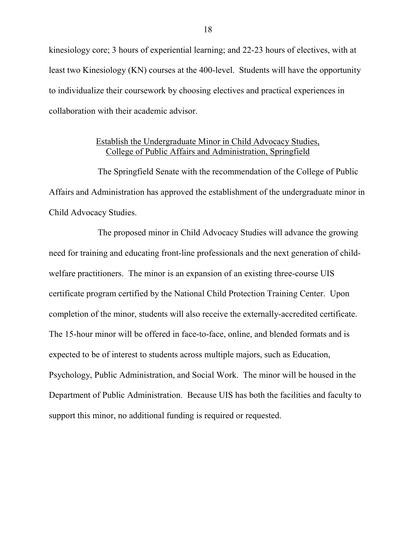kinesiology core; 3 hours of experiential learning; and 22-23 hours of electives, with at least two Kinesiology (KN) courses at the 400-level. Students will have the opportunity to individualize their coursework by choosing electives and practical experiences in collaboration with their academic advisor.

#### Establish the Undergraduate Minor in Child Advocacy Studies, College of Public Affairs and Administration, Springfield

The Springfield Senate with the recommendation of the College of Public Affairs and Administration has approved the establishment of the undergraduate minor in Child Advocacy Studies.

The proposed minor in Child Advocacy Studies will advance the growing need for training and educating front-line professionals and the next generation of childwelfare practitioners. The minor is an expansion of an existing three-course UIS certificate program certified by the National Child Protection Training Center. Upon completion of the minor, students will also receive the externally-accredited certificate. The 15-hour minor will be offered in face-to-face, online, and blended formats and is expected to be of interest to students across multiple majors, such as Education, Psychology, Public Administration, and Social Work. The minor will be housed in the Department of Public Administration. Because UIS has both the facilities and faculty to support this minor, no additional funding is required or requested.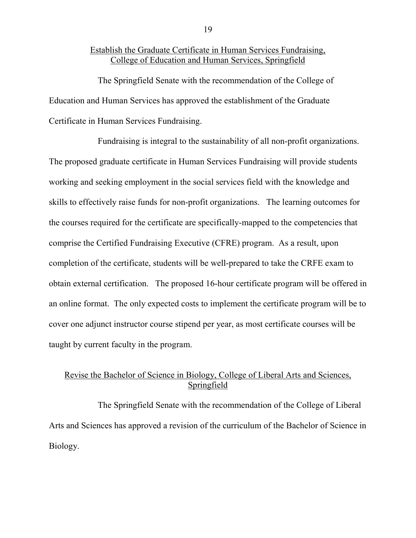#### Establish the Graduate Certificate in Human Services Fundraising, College of Education and Human Services, Springfield

The Springfield Senate with the recommendation of the College of Education and Human Services has approved the establishment of the Graduate Certificate in Human Services Fundraising.

Fundraising is integral to the sustainability of all non-profit organizations. The proposed graduate certificate in Human Services Fundraising will provide students working and seeking employment in the social services field with the knowledge and skills to effectively raise funds for non-profit organizations. The learning outcomes for the courses required for the certificate are specifically-mapped to the competencies that comprise the Certified Fundraising Executive (CFRE) program. As a result, upon completion of the certificate, students will be well-prepared to take the CRFE exam to obtain external certification. The proposed 16-hour certificate program will be offered in an online format. The only expected costs to implement the certificate program will be to cover one adjunct instructor course stipend per year, as most certificate courses will be taught by current faculty in the program.

# Revise the Bachelor of Science in Biology, College of Liberal Arts and Sciences, Springfield

The Springfield Senate with the recommendation of the College of Liberal Arts and Sciences has approved a revision of the curriculum of the Bachelor of Science in Biology.